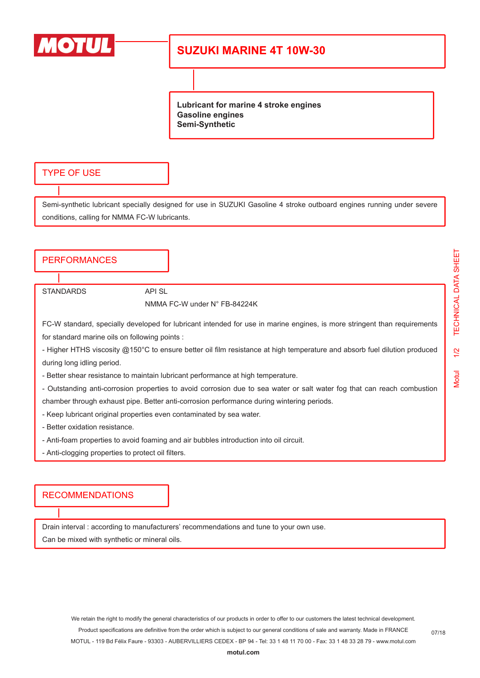

# **SUZUKI MARINE 4T 10W-30**

**Lubricant for marine 4 stroke engines Gasoline engines Semi-Synthetic**

### TYPE OF USE

Semi-synthetic lubricant specially designed for use in SUZUKI Gasoline 4 stroke outboard engines running under severe conditions, calling for NMMA FC-W lubricants.

## **PERFORMANCES**

STANDARDS API SL

#### NMMA FC-W under N° FB-84224K

FC-W standard, specially developed for lubricant intended for use in marine engines, is more stringent than requirements for standard marine oils on following points :

- Higher HTHS viscosity @150°C to ensure better oil film resistance at high temperature and absorb fuel dilution produced during long idling period.

- Better shear resistance to maintain lubricant performance at high temperature.

- Outstanding anti-corrosion properties to avoid corrosion due to sea water or salt water fog that can reach combustion chamber through exhaust pipe. Better anti-corrosion performance during wintering periods.

- Keep lubricant original properties even contaminated by sea water.
- Better oxidation resistance.
- Anti-foam properties to avoid foaming and air bubbles introduction into oil circuit.
- Anti-clogging properties to protect oil filters.

### RECOMMENDATIONS

Drain interval : according to manufacturers' recommendations and tune to your own use.

Can be mixed with synthetic or mineral oils.

Motul 1/2 TECHNICAL DATA SHEET

 $\frac{1}{2}$ 

**Motul** 

TECHNICAL DATA SHEET

We retain the right to modify the general characteristics of our products in order to offer to our customers the latest technical development. Product specifications are definitive from the order which is subject to our general conditions of sale and warranty. Made in FRANCE MOTUL - 119 Bd Félix Faure - 93303 - AUBERVILLIERS CEDEX - BP 94 - Tel: 33 1 48 11 70 00 - Fax: 33 1 48 33 28 79 - www.motul.com